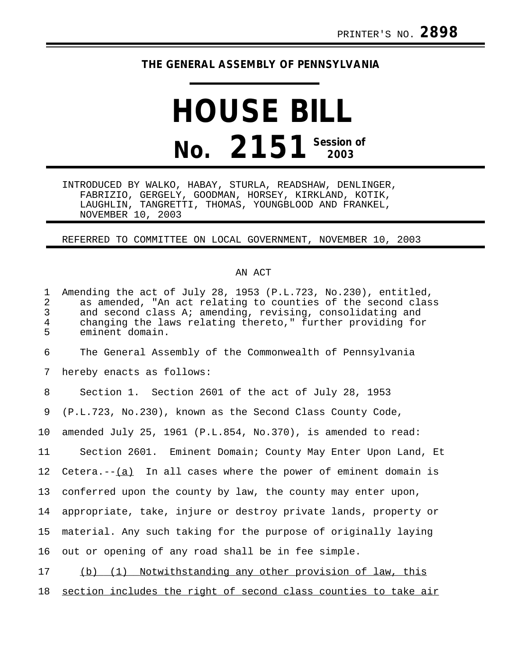## **THE GENERAL ASSEMBLY OF PENNSYLVANIA**

## **HOUSE BILL No. 2151** Session of

INTRODUCED BY WALKO, HABAY, STURLA, READSHAW, DENLINGER, FABRIZIO, GERGELY, GOODMAN, HORSEY, KIRKLAND, KOTIK, LAUGHLIN, TANGRETTI, THOMAS, YOUNGBLOOD AND FRANKEL, NOVEMBER 10, 2003

## REFERRED TO COMMITTEE ON LOCAL GOVERNMENT, NOVEMBER 10, 2003

## AN ACT

| $\mathbf 1$<br>$\overline{a}$<br>3<br>$\overline{4}$<br>5 | Amending the act of July 28, 1953 (P.L.723, No.230), entitled,<br>as amended, "An act relating to counties of the second class<br>and second class A; amending, revising, consolidating and<br>changing the laws relating thereto," further providing for<br>eminent domain. |
|-----------------------------------------------------------|------------------------------------------------------------------------------------------------------------------------------------------------------------------------------------------------------------------------------------------------------------------------------|
| 6                                                         | The General Assembly of the Commonwealth of Pennsylvania                                                                                                                                                                                                                     |
| 7                                                         | hereby enacts as follows:                                                                                                                                                                                                                                                    |
| 8                                                         | Section 1. Section 2601 of the act of July 28, 1953                                                                                                                                                                                                                          |
| 9                                                         | (P.L.723, No.230), known as the Second Class County Code,                                                                                                                                                                                                                    |
| 10                                                        | amended July 25, 1961 (P.L.854, No.370), is amended to read:                                                                                                                                                                                                                 |
| 11                                                        | Section 2601. Eminent Domain; County May Enter Upon Land, Et                                                                                                                                                                                                                 |
| 12                                                        | Cetera. $-(-a)$ In all cases where the power of eminent domain is                                                                                                                                                                                                            |
| 13                                                        | conferred upon the county by law, the county may enter upon,                                                                                                                                                                                                                 |
| 14                                                        | appropriate, take, injure or destroy private lands, property or                                                                                                                                                                                                              |
| 15                                                        | material. Any such taking for the purpose of originally laying                                                                                                                                                                                                               |
| 16                                                        | out or opening of any road shall be in fee simple.                                                                                                                                                                                                                           |
| 17                                                        | (b) (1) Notwithstanding any other provision of law, this                                                                                                                                                                                                                     |
| 18                                                        | section includes the right of second class counties to take air                                                                                                                                                                                                              |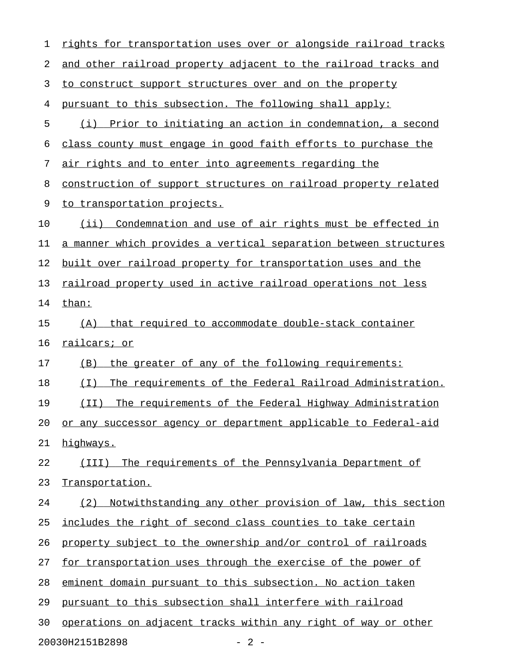| 1  | rights for transportation uses over or alongside railroad tracks |
|----|------------------------------------------------------------------|
| 2  | and other railroad property adjacent to the railroad tracks and  |
| 3  | to construct support structures over and on the property         |
| 4  | pursuant to this subsection. The following shall apply:          |
| 5  | (i) Prior to initiating an action in condemnation, a second      |
| 6  | class county must engage in good faith efforts to purchase the   |
| 7  | air rights and to enter into agreements regarding the            |
| 8  | construction of support structures on railroad property related  |
| 9  | to transportation projects.                                      |
| 10 | (ii) Condemnation and use of air rights must be effected in      |
| 11 | a manner which provides a vertical separation between structures |
| 12 | built over railroad property for transportation uses and the     |
| 13 | railroad property used in active railroad operations not less    |
| 14 | than:                                                            |
| 15 | that required to accommodate double-stack container<br>(A)       |
| 16 | railcars; or                                                     |
| 17 | the greater of any of the following requirements:<br>(B)         |
| 18 | The requirements of the Federal Railroad Administration.<br>(T)  |
| 19 | (II)<br>The requirements of the Federal Highway Administration   |
| 20 | or any successor agency or department applicable to Federal-aid  |
| 21 | highways.                                                        |
| 22 | (III) The requirements of the Pennsylvania Department of         |
| 23 | Transportation.                                                  |
| 24 | (2) Notwithstanding any other provision of law, this section     |
| 25 | includes the right of second class counties to take certain      |
| 26 | property subject to the ownership and/or control of railroads    |
| 27 | for transportation uses through the exercise of the power of     |
| 28 | eminent domain pursuant to this subsection. No action taken      |
| 29 | pursuant to this subsection shall interfere with railroad        |
| 30 | operations on adjacent tracks within any right of way or other   |
|    | 20030H2151B2898<br>$-2-$                                         |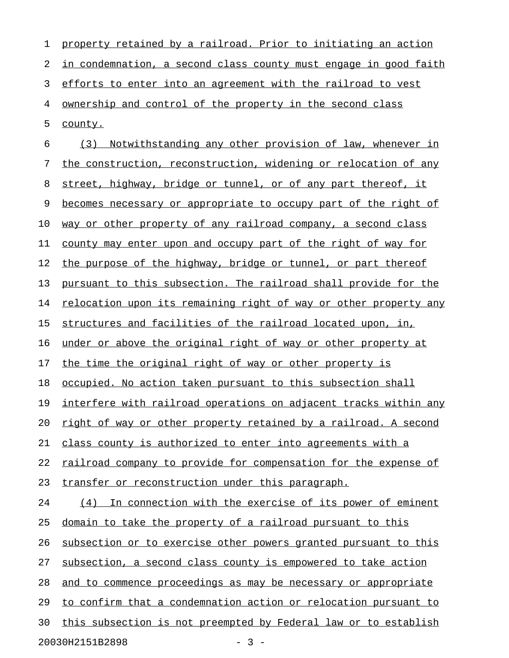| 1  | property retained by a railroad. Prior to initiating an action   |
|----|------------------------------------------------------------------|
| 2  | in condemnation, a second class county must engage in good faith |
| 3  | efforts to enter into an agreement with the railroad to vest     |
| 4  | <u>ownership and control of the property in the second class</u> |
| 5  | county.                                                          |
| 6  | (3)<br>Notwithstanding any other provision of law, whenever in   |
| 7  | the construction, reconstruction, widening or relocation of any  |
| 8  | street, highway, bridge or tunnel, or of any part thereof, it    |
| 9  | becomes necessary or appropriate to occupy part of the right of  |
| 10 | way or other property of any railroad company, a second class    |
| 11 | county may enter upon and occupy part of the right of way for    |
| 12 | the purpose of the highway, bridge or tunnel, or part thereof    |
| 13 | pursuant to this subsection. The railroad shall provide for the  |
| 14 | relocation upon its remaining right of way or other property any |
| 15 | structures and facilities of the railroad located upon, in,      |
| 16 | under or above the original right of way or other property at    |
| 17 | the time the original right of way or other property is          |
| 18 | occupied. No action taken pursuant to this subsection shall      |
| 19 | interfere with railroad operations on adjacent tracks within any |
| 20 | right of way or other property retained by a railroad. A second  |
| 21 | class county is authorized to enter into agreements with a       |
| 22 | railroad company to provide for compensation for the expense of  |
| 23 | transfer or reconstruction under this paragraph.                 |
| 24 | (4) In connection with the exercise of its power of eminent      |
| 25 | domain to take the property of a railroad pursuant to this       |
| 26 | subsection or to exercise other powers granted pursuant to this  |
| 27 | subsection, a second class county is empowered to take action    |
| 28 | and to commence proceedings as may be necessary or appropriate   |
| 29 | to confirm that a condemnation action or relocation pursuant to  |
| 30 | this subsection is not preempted by Federal law or to establish  |
|    | 20030H2151B2898<br>$-3 -$                                        |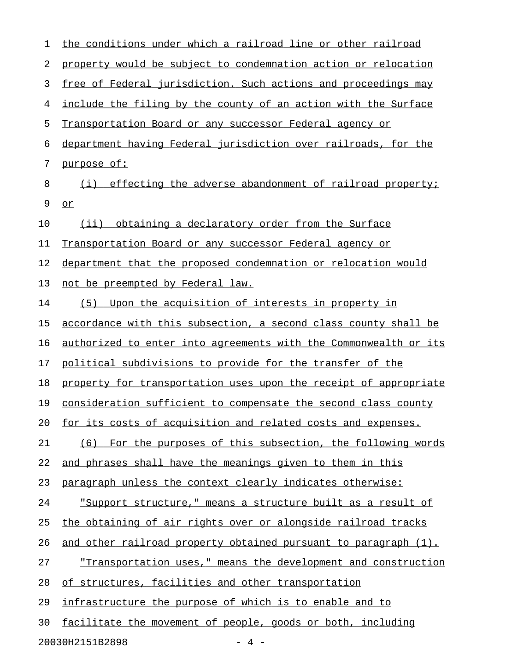| 1  | the conditions under which a railroad line or other railroad            |
|----|-------------------------------------------------------------------------|
| 2  | property would be subject to condemnation action or relocation          |
| 3  | free of Federal jurisdiction. Such actions and proceedings may          |
| 4  | include the filing by the county of an action with the Surface          |
| 5  | Transportation Board or any successor Federal agency or                 |
| 6  | department having Federal jurisdiction over railroads, for the          |
| 7  | purpose of:                                                             |
| 8  | effecting the adverse abandonment of railroad property;<br>(i)          |
| 9  | $Q\underline{r}$                                                        |
| 10 | obtaining a declaratory order from the Surface<br>(i)                   |
| 11 | Transportation Board or any successor Federal agency or                 |
| 12 | department that the proposed condemnation or relocation would           |
| 13 | not be preempted by Federal law.                                        |
| 14 | Upon the acquisition of interests in property in<br>(5)                 |
| 15 | accordance with this subsection, a second class county shall be         |
| 16 | <u>authorized to enter into agreements with the Commonwealth or its</u> |
| 17 | political subdivisions to provide for the transfer of the               |
| 18 | property for transportation uses upon the receipt of appropriate        |
| 19 | consideration sufficient to compensate the second class county          |
| 20 | for its costs of acquisition and related costs and expenses.            |
| 21 | (6) For the purposes of this subsection, the following words            |
| 22 | and phrases shall have the meanings given to them in this               |
| 23 | paragraph unless the context clearly indicates otherwise:               |
| 24 | "Support structure," means a structure built as a result of             |
| 25 | the obtaining of air rights over or alongside railroad tracks           |
| 26 | and other railroad property obtained pursuant to paragraph (1).         |
| 27 | <u>"Transportation uses," means the development and construction</u>    |
| 28 | of structures, facilities and other transportation                      |
| 29 | infrastructure the purpose of which is to enable and to                 |
| 30 | facilitate the movement of people, goods or both, including             |
|    | 20030H2151B2898<br>$-4$ $-$                                             |